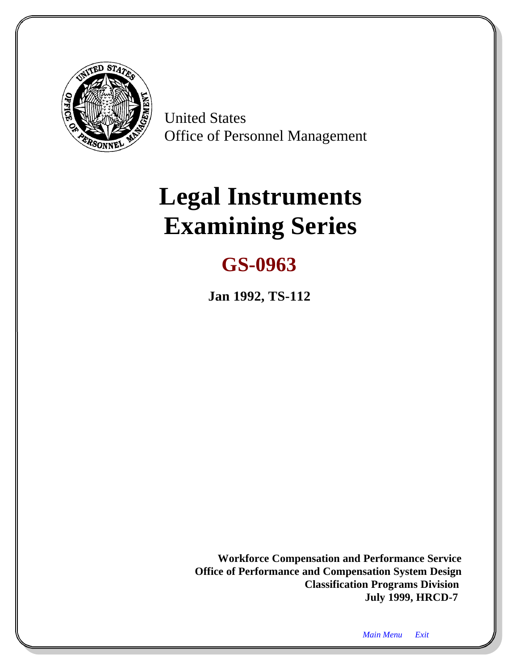<span id="page-0-1"></span><span id="page-0-0"></span>

United States Office of Personnel Management

# **Legal Instruments Examining Series**

## **GS-0963**

**Jan 1992, TS-112**

**Workforce Compensation and Performance Service Office of Performance and Compensation System Design Classification Programs Division July 1999, HRCD-7**

*Main Menu Exit*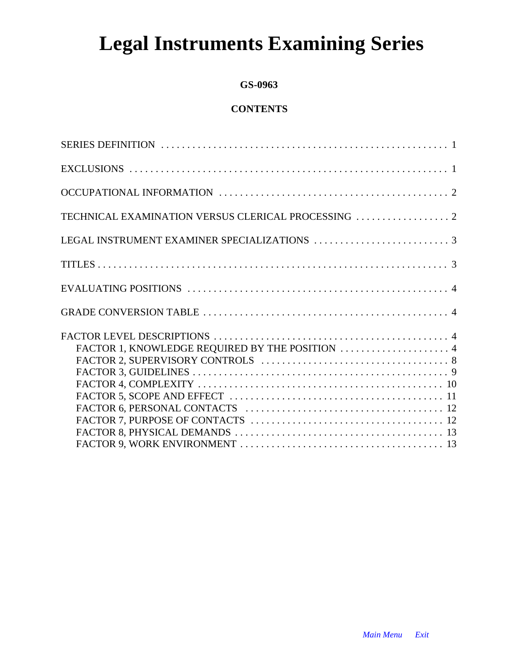## **Legal Instruments Examining Series**

#### **GS-0963**

## **CONTENTS**

| TECHNICAL EXAMINATION VERSUS CLERICAL PROCESSING  2 |
|-----------------------------------------------------|
|                                                     |
|                                                     |
|                                                     |
|                                                     |
|                                                     |
|                                                     |
|                                                     |
|                                                     |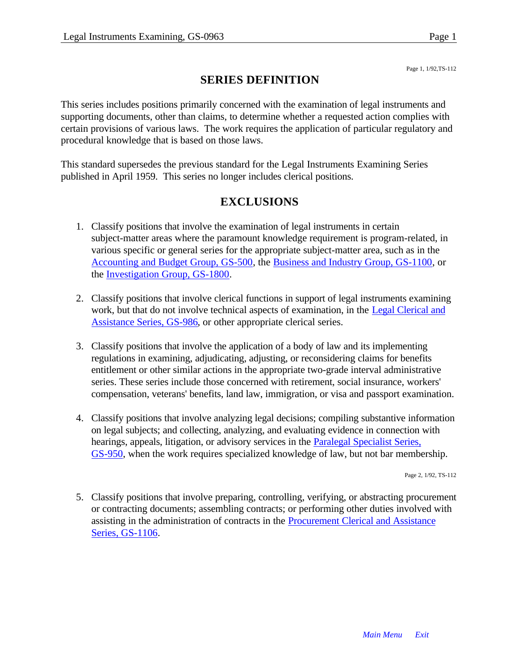#### Page 1, 1/92,TS-112

## **SERIES DEFINITION**

This series includes positions primarily concerned with the examination of legal instruments and supporting documents, other than claims, to determine whether a requested action complies with certain provisions of various laws. The work requires the application of particular regulatory and procedural knowledge that is based on those laws.

This standard supersedes the previous standard for the Legal Instruments Examining Series published in April 1959. This series no longer includes clerical positions.

## **EXCLUSIONS**

- 1. Classify positions that involve the examination of legal instruments in certain subject-matter areas where the paramount knowledge requirement is program-related, in various specific or general series for the appropriate subject-matter area, such as in the [Accounting and Budget Group, GS-500, t](#page-56-0)he [Business and Industry Group, GS-1100, o](#page-97-0)r th[e Investigation Group, GS-1800.](#page-119-0)
- 2. Classify positions that involve clerical functions in support of legal instruments examining work, but that do not involve technical aspects of examination, in the [Legal Clerical and](#page-0-0) [Assistance Series, GS-986,](#page-0-0) or other appropriate clerical series.
- 3. Classify positions that involve the application of a body of law and its implementing regulations in examining, adjudicating, adjusting, or reconsidering claims for benefits entitlement or other similar actions in the appropriate two-grade interval administrative series. These series include those concerned with retirement, social insurance, workers' compensation, veterans' benefits, land law, immigration, or visa and passport examination.
- 4. Classify positions that involve analyzing legal decisions; compiling substantive information on legal subjects; and collecting, analyzing, and evaluating evidence in connection with hearings, appeals, litigation, or advisory services in the **Paralegal Specialist Series**, [GS-950,](#page-0-1) when the work requires specialized knowledge of law, but not bar membership.

Page 2, 1/92, TS-112

5. Classify positions that involve preparing, controlling, verifying, or abstracting procurement or contracting documents; assembling contracts; or performing other duties involved with assisting in the administration of contracts in the [Procurement Clerical and Assistance](#page-0-1) [Series, GS-1106.](#page-0-1)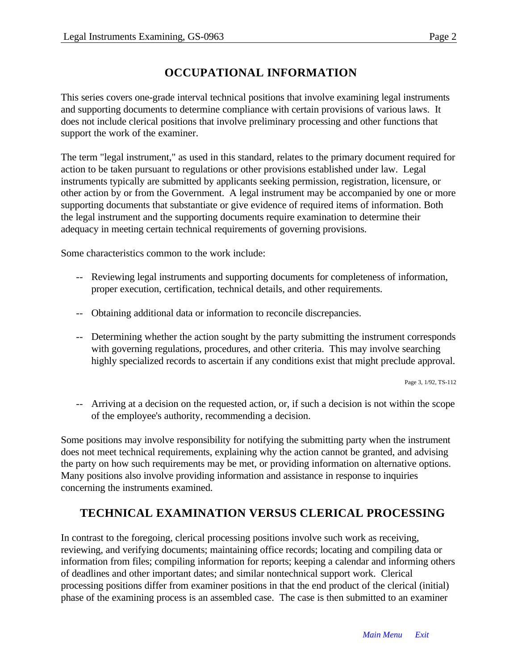## **OCCUPATIONAL INFORMATION**

This series covers one-grade interval technical positions that involve examining legal instruments and supporting documents to determine compliance with certain provisions of various laws. It does not include clerical positions that involve preliminary processing and other functions that support the work of the examiner.

The term "legal instrument," as used in this standard, relates to the primary document required for action to be taken pursuant to regulations or other provisions established under law. Legal instruments typically are submitted by applicants seeking permission, registration, licensure, or other action by or from the Government. A legal instrument may be accompanied by one or more supporting documents that substantiate or give evidence of required items of information. Both the legal instrument and the supporting documents require examination to determine their adequacy in meeting certain technical requirements of governing provisions.

Some characteristics common to the work include:

- -- Reviewing legal instruments and supporting documents for completeness of information, proper execution, certification, technical details, and other requirements.
- -- Obtaining additional data or information to reconcile discrepancies.
- -- Determining whether the action sought by the party submitting the instrument corresponds with governing regulations, procedures, and other criteria. This may involve searching highly specialized records to ascertain if any conditions exist that might preclude approval.

Page 3, 1/92, TS-112

-- Arriving at a decision on the requested action, or, if such a decision is not within the scope of the employee's authority, recommending a decision.

Some positions may involve responsibility for notifying the submitting party when the instrument does not meet technical requirements, explaining why the action cannot be granted, and advising the party on how such requirements may be met, or providing information on alternative options. Many positions also involve providing information and assistance in response to inquiries concerning the instruments examined.

## **TECHNICAL EXAMINATION VERSUS CLERICAL PROCESSING**

In contrast to the foregoing, clerical processing positions involve such work as receiving, reviewing, and verifying documents; maintaining office records; locating and compiling data or information from files; compiling information for reports; keeping a calendar and informing others of deadlines and other important dates; and similar nontechnical support work. Clerical processing positions differ from examiner positions in that the end product of the clerical (initial) phase of the examining process is an assembled case. The case is then submitted to an examiner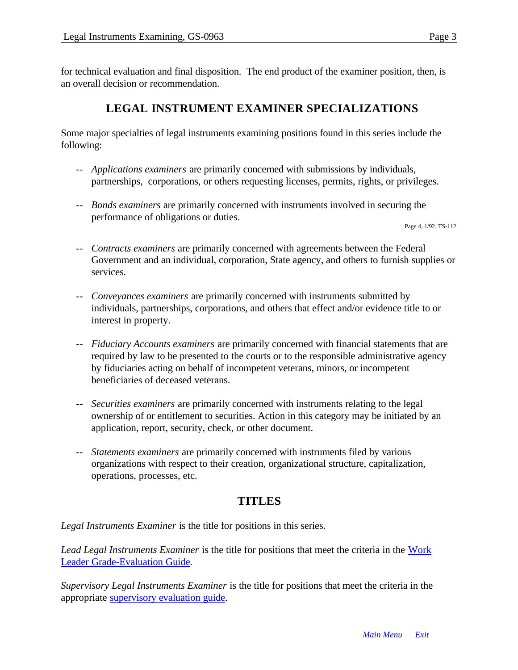for technical evaluation and final disposition. The end product of the examiner position, then, is an overall decision or recommendation.

## **LEGAL INSTRUMENT EXAMINER SPECIALIZATIONS**

Some major specialties of legal instruments examining positions found in this series include the following:

- -- *Applications examiners* are primarily concerned with submissions by individuals, partnerships, corporations, or others requesting licenses, permits, rights, or privileges.
- -- *Bonds examiners* are primarily concerned with instruments involved in securing the performance of obligations or duties.

Page 4, 1/92, TS-112

- -- *Contracts examiners* are primarily concerned with agreements between the Federal Government and an individual, corporation, State agency, and others to furnish supplies or services.
- -- *Conveyances examiners* are primarily concerned with instruments submitted by individuals, partnerships, corporations, and others that effect and/or evidence title to or interest in property.
- -- *Fiduciary Accounts examiners* are primarily concerned with financial statements that are required by law to be presented to the courts or to the responsible administrative agency by fiduciaries acting on behalf of incompetent veterans, minors, or incompetent beneficiaries of deceased veterans.
- -- *Securities examiners* are primarily concerned with instruments relating to the legal ownership of or entitlement to securities. Action in this category may be initiated by an application, report, security, check, or other document.
- -- *Statements examiners* are primarily concerned with instruments filed by various organizations with respect to their creation, organizational structure, capitalization, operations, processes, etc.

#### **TITLES**

*Legal Instruments Examiner* is the title for positions in this series.

*Lead Legal Instruments Examiner* is the title for positions that meet the criteria in the [Work](#page-0-1) [Leader Grade-Evaluation Guide.](#page-0-1)

*Supervisory Legal Instruments Examiner* is the title for positions that meet the criteria in the appropriate supervisory evaluation guide.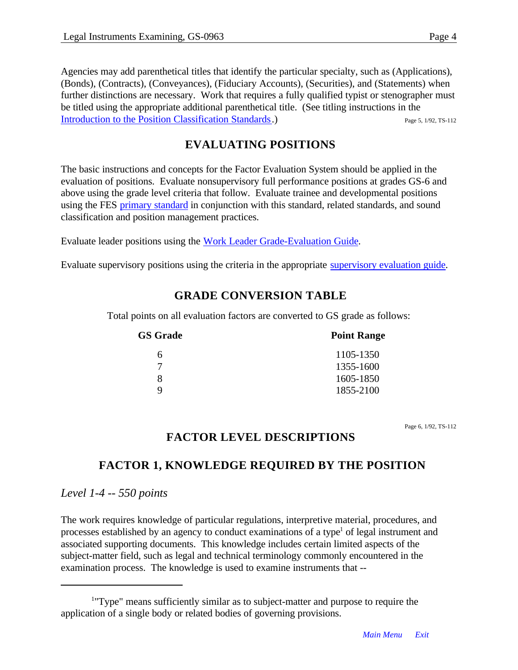Agencies may add parenthetical titles that identify the particular specialty, such as (Applications), (Bonds), (Contracts), (Conveyances), (Fiduciary Accounts), (Securities), and (Statements) when further distinctions are necessary. Work that requires a fully qualified typist or stenographer must be titled using the appropriate additional parenthetical title. (See titling instructions in the [Introduction to the Position Classification Standards.](#page-16-0)) Page 5, 1/92, TS-112

## **EVALUATING POSITIONS**

The basic instructions and concepts for the Factor Evaluation System should be applied in the evaluation of positions. Evaluate nonsupervisory full performance positions at grades GS-6 and above using the grade level criteria that follow. Evaluate trainee and developmental positions using the FE[S primary standard](#page-49-0) in conjunction with this standard, related standards, and sound classification and position management practices.

Evaluate leader positions using the Work Leader Grade-Evaluation Guide.

Evaluate supervisory positions using the criteria in the appropriate [supervisory evaluation guide.](#page-0-1)

#### **GRADE CONVERSION TABLE**

Total points on all evaluation factors are converted to GS grade as follows:

| <b>GS Grade</b> | <b>Point Range</b> |
|-----------------|--------------------|
| 6               | 1105-1350          |
|                 | 1355-1600          |
| 8               | 1605-1850          |
| Q               | 1855-2100          |

Page 6, 1/92, TS-112

#### **FACTOR LEVEL DESCRIPTIONS**

## **FACTOR 1, KNOWLEDGE REQUIRED BY THE POSITION**

*Level 1-4 -- 550 points*

The work requires knowledge of particular regulations, interpretive material, procedures, and processes established by an agency to conduct examinations of a type<sup>1</sup> of legal instrument and associated supporting documents. This knowledge includes certain limited aspects of the subject-matter field, such as legal and technical terminology commonly encountered in the examination process. The knowledge is used to examine instruments that --

<sup>&</sup>lt;sup>1</sup>"Type" means sufficiently similar as to subject-matter and purpose to require the application of a single body or related bodies of governing provisions.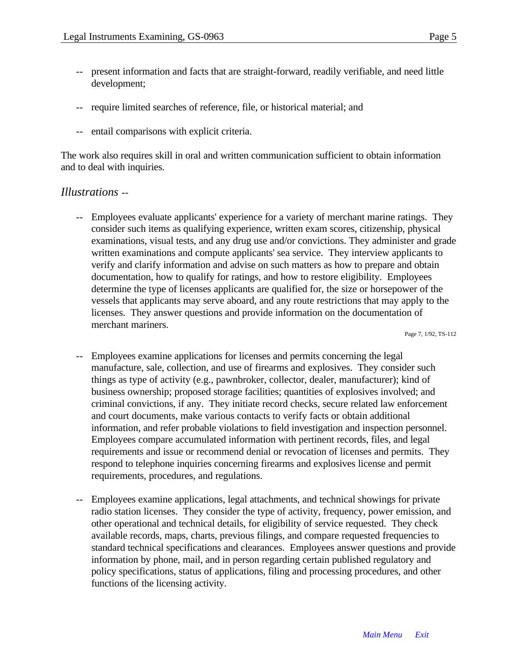- -- present information and facts that are straight-forward, readily verifiable, and need little development;
- -- require limited searches of reference, file, or historical material; and
- -- entail comparisons with explicit criteria.

The work also requires skill in oral and written communication sufficient to obtain information and to deal with inquiries.

#### *Illustrations* --

-- Employees evaluate applicants' experience for a variety of merchant marine ratings. They consider such items as qualifying experience, written exam scores, citizenship, physical examinations, visual tests, and any drug use and/or convictions. They administer and grade written examinations and compute applicants' sea service. They interview applicants to verify and clarify information and advise on such matters as how to prepare and obtain documentation, how to qualify for ratings, and how to restore eligibility. Employees determine the type of licenses applicants are qualified for, the size or horsepower of the vessels that applicants may serve aboard, and any route restrictions that may apply to the licenses. They answer questions and provide information on the documentation of merchant mariners.

Page 7, 1/92, TS-112

- Employees examine applications for licenses and permits concerning the legal manufacture, sale, collection, and use of firearms and explosives. They consider such things as type of activity (e.g., pawnbroker, collector, dealer, manufacturer); kind of business ownership; proposed storage facilities; quantities of explosives involved; and criminal convictions, if any. They initiate record checks, secure related law enforcement and court documents, make various contacts to verify facts or obtain additional information, and refer probable violations to field investigation and inspection personnel. Employees compare accumulated information with pertinent records, files, and legal requirements and issue or recommend denial or revocation of licenses and permits. They respond to telephone inquiries concerning firearms and explosives license and permit requirements, procedures, and regulations.
- Employees examine applications, legal attachments, and technical showings for private radio station licenses. They consider the type of activity, frequency, power emission, and other operational and technical details, for eligibility of service requested. They check available records, maps, charts, previous filings, and compare requested frequencies to standard technical specifications and clearances. Employees answer questions and provide information by phone, mail, and in person regarding certain published regulatory and policy specifications, status of applications, filing and processing procedures, and other functions of the licensing activity.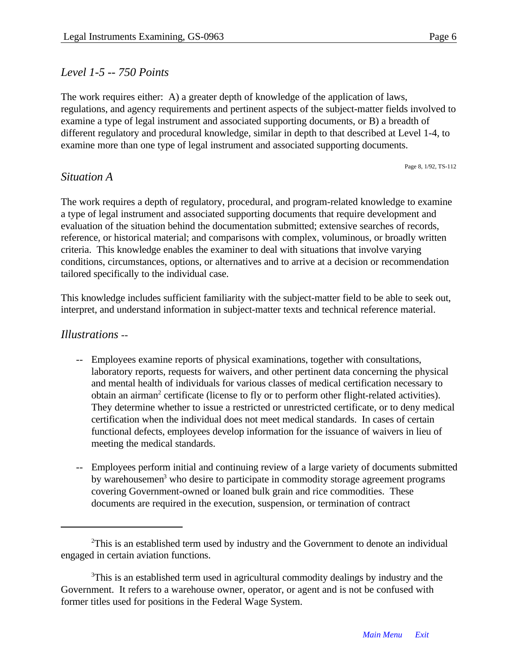Page 8, 1/92, TS-112

#### *Level 1-5 -- 750 Points*

The work requires either: A) a greater depth of knowledge of the application of laws, regulations, and agency requirements and pertinent aspects of the subject-matter fields involved to examine a type of legal instrument and associated supporting documents, or B) a breadth of different regulatory and procedural knowledge, similar in depth to that described at Level 1-4, to examine more than one type of legal instrument and associated supporting documents.

*Situation A*

The work requires a depth of regulatory, procedural, and program-related knowledge to examine a type of legal instrument and associated supporting documents that require development and evaluation of the situation behind the documentation submitted; extensive searches of records, reference, or historical material; and comparisons with complex, voluminous, or broadly written criteria. This knowledge enables the examiner to deal with situations that involve varying conditions, circumstances, options, or alternatives and to arrive at a decision or recommendation tailored specifically to the individual case.

This knowledge includes sufficient familiarity with the subject-matter field to be able to seek out, interpret, and understand information in subject-matter texts and technical reference material.

#### *Illustrations* --

- -- Employees examine reports of physical examinations, together with consultations, laboratory reports, requests for waivers, and other pertinent data concerning the physical and mental health of individuals for various classes of medical certification necessary to obtain an airman<sup>2</sup> certificate (license to fly or to perform other flight-related activities). They determine whether to issue a restricted or unrestricted certificate, or to deny medical certification when the individual does not meet medical standards. In cases of certain functional defects, employees develop information for the issuance of waivers in lieu of meeting the medical standards.
- -- Employees perform initial and continuing review of a large variety of documents submitted by warehousemen<sup>3</sup> who desire to participate in commodity storage agreement programs covering Government-owned or loaned bulk grain and rice commodities. These documents are required in the execution, suspension, or termination of contract

<sup>&</sup>lt;sup>2</sup>This is an established term used by industry and the Government to denote an individual engaged in certain aviation functions.

<sup>&</sup>lt;sup>3</sup>This is an established term used in agricultural commodity dealings by industry and the Government. It refers to a warehouse owner, operator, or agent and is not be confused with former titles used for positions in the Federal Wage System.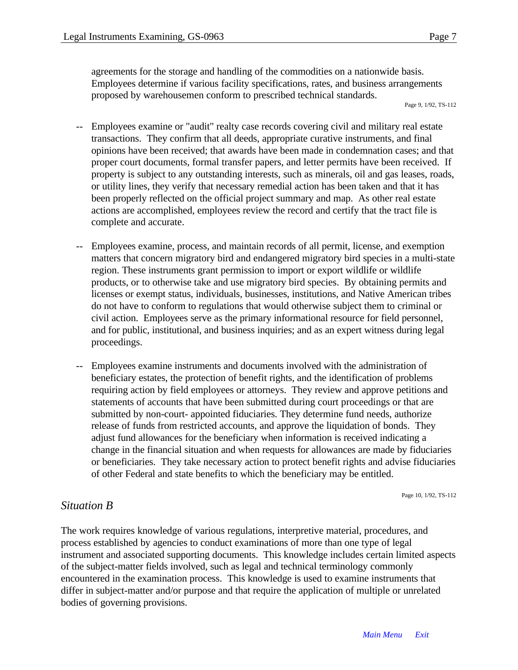agreements for the storage and handling of the commodities on a nationwide basis. Employees determine if various facility specifications, rates, and business arrangements proposed by warehousemen conform to prescribed technical standards.

- -- Employees examine or "audit" realty case records covering civil and military real estate transactions. They confirm that all deeds, appropriate curative instruments, and final opinions have been received; that awards have been made in condemnation cases; and that proper court documents, formal transfer papers, and letter permits have been received. If property is subject to any outstanding interests, such as minerals, oil and gas leases, roads, or utility lines, they verify that necessary remedial action has been taken and that it has been properly reflected on the official project summary and map. As other real estate actions are accomplished, employees review the record and certify that the tract file is complete and accurate.
- -- Employees examine, process, and maintain records of all permit, license, and exemption matters that concern migratory bird and endangered migratory bird species in a multi-state region. These instruments grant permission to import or export wildlife or wildlife products, or to otherwise take and use migratory bird species. By obtaining permits and licenses or exempt status, individuals, businesses, institutions, and Native American tribes do not have to conform to regulations that would otherwise subject them to criminal or civil action. Employees serve as the primary informational resource for field personnel, and for public, institutional, and business inquiries; and as an expert witness during legal proceedings.
- Employees examine instruments and documents involved with the administration of beneficiary estates, the protection of benefit rights, and the identification of problems requiring action by field employees or attorneys. They review and approve petitions and statements of accounts that have been submitted during court proceedings or that are submitted by non-court- appointed fiduciaries. They determine fund needs, authorize release of funds from restricted accounts, and approve the liquidation of bonds. They adjust fund allowances for the beneficiary when information is received indicating a change in the financial situation and when requests for allowances are made by fiduciaries or beneficiaries. They take necessary action to protect benefit rights and advise fiduciaries of other Federal and state benefits to which the beneficiary may be entitled.

Page 10, 1/92, TS-112

#### *Situation B*

The work requires knowledge of various regulations, interpretive material, procedures, and process established by agencies to conduct examinations of more than one type of legal instrument and associated supporting documents. This knowledge includes certain limited aspects of the subject-matter fields involved, such as legal and technical terminology commonly encountered in the examination process. This knowledge is used to examine instruments that differ in subject-matter and/or purpose and that require the application of multiple or unrelated bodies of governing provisions.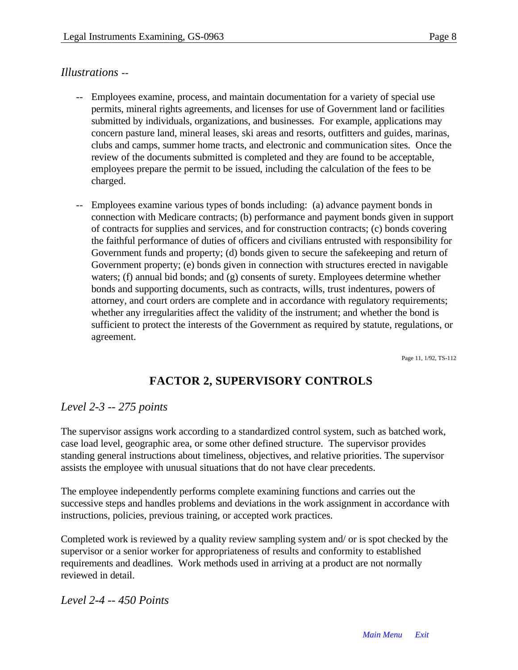#### *Illustrations* --

- Employees examine, process, and maintain documentation for a variety of special use permits, mineral rights agreements, and licenses for use of Government land or facilities submitted by individuals, organizations, and businesses. For example, applications may concern pasture land, mineral leases, ski areas and resorts, outfitters and guides, marinas, clubs and camps, summer home tracts, and electronic and communication sites. Once the review of the documents submitted is completed and they are found to be acceptable, employees prepare the permit to be issued, including the calculation of the fees to be charged.
- Employees examine various types of bonds including: (a) advance payment bonds in connection with Medicare contracts; (b) performance and payment bonds given in support of contracts for supplies and services, and for construction contracts; (c) bonds covering the faithful performance of duties of officers and civilians entrusted with responsibility for Government funds and property; (d) bonds given to secure the safekeeping and return of Government property; (e) bonds given in connection with structures erected in navigable waters; (f) annual bid bonds; and (g) consents of surety. Employees determine whether bonds and supporting documents, such as contracts, wills, trust indentures, powers of attorney, and court orders are complete and in accordance with regulatory requirements; whether any irregularities affect the validity of the instrument; and whether the bond is sufficient to protect the interests of the Government as required by statute, regulations, or agreement.

Page 11, 1/92, TS-112

## **FACTOR 2, SUPERVISORY CONTROLS**

#### *Level 2-3 -- 275 points*

The supervisor assigns work according to a standardized control system, such as batched work, case load level, geographic area, or some other defined structure. The supervisor provides standing general instructions about timeliness, objectives, and relative priorities. The supervisor assists the employee with unusual situations that do not have clear precedents.

The employee independently performs complete examining functions and carries out the successive steps and handles problems and deviations in the work assignment in accordance with instructions, policies, previous training, or accepted work practices.

Completed work is reviewed by a quality review sampling system and/ or is spot checked by the supervisor or a senior worker for appropriateness of results and conformity to established requirements and deadlines. Work methods used in arriving at a product are not normally reviewed in detail.

*Level 2-4 -- 450 Points*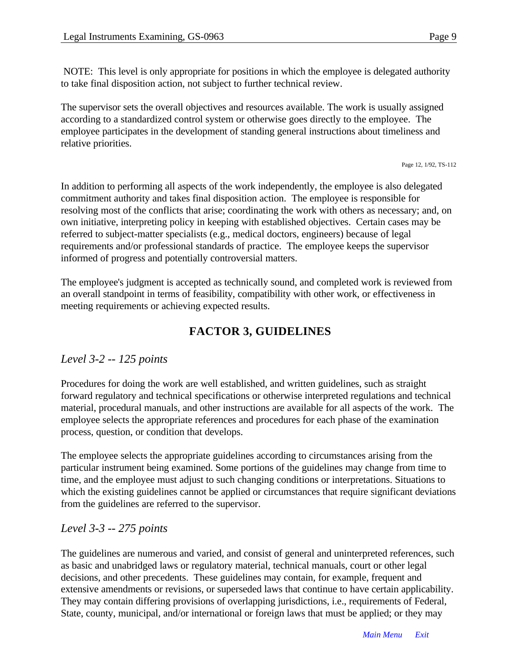NOTE: This level is only appropriate for positions in which the employee is delegated authority to take final disposition action, not subject to further technical review.

The supervisor sets the overall objectives and resources available. The work is usually assigned according to a standardized control system or otherwise goes directly to the employee. The employee participates in the development of standing general instructions about timeliness and relative priorities.

Page 12, 1/92, TS-112

In addition to performing all aspects of the work independently, the employee is also delegated commitment authority and takes final disposition action. The employee is responsible for resolving most of the conflicts that arise; coordinating the work with others as necessary; and, on own initiative, interpreting policy in keeping with established objectives. Certain cases may be referred to subject-matter specialists (e.g., medical doctors, engineers) because of legal requirements and/or professional standards of practice. The employee keeps the supervisor informed of progress and potentially controversial matters.

The employee's judgment is accepted as technically sound, and completed work is reviewed from an overall standpoint in terms of feasibility, compatibility with other work, or effectiveness in meeting requirements or achieving expected results.

## **FACTOR 3, GUIDELINES**

## *Level 3-2 -- 125 points*

Procedures for doing the work are well established, and written guidelines, such as straight forward regulatory and technical specifications or otherwise interpreted regulations and technical material, procedural manuals, and other instructions are available for all aspects of the work. The employee selects the appropriate references and procedures for each phase of the examination process, question, or condition that develops.

The employee selects the appropriate guidelines according to circumstances arising from the particular instrument being examined. Some portions of the guidelines may change from time to time, and the employee must adjust to such changing conditions or interpretations. Situations to which the existing guidelines cannot be applied or circumstances that require significant deviations from the guidelines are referred to the supervisor.

## *Level 3-3 -- 275 points*

The guidelines are numerous and varied, and consist of general and uninterpreted references, such as basic and unabridged laws or regulatory material, technical manuals, court or other legal decisions, and other precedents. These guidelines may contain, for example, frequent and extensive amendments or revisions, or superseded laws that continue to have certain applicability. They may contain differing provisions of overlapping jurisdictions, i.e., requirements of Federal, State, county, municipal, and/or international or foreign laws that must be applied; or they may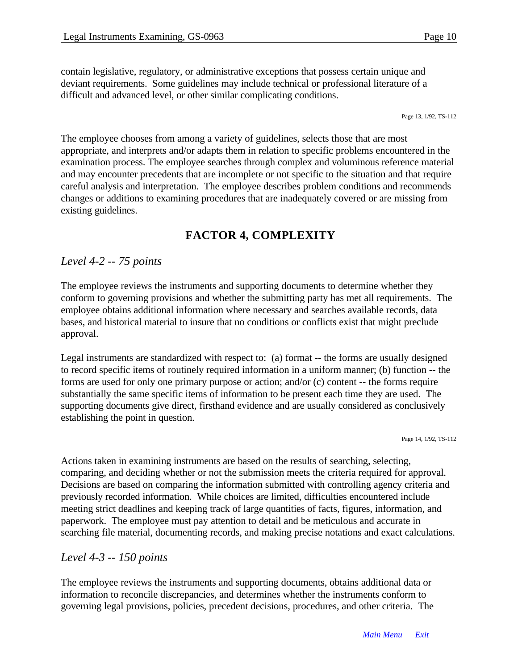contain legislative, regulatory, or administrative exceptions that possess certain unique and deviant requirements. Some guidelines may include technical or professional literature of a difficult and advanced level, or other similar complicating conditions.

Page 13, 1/92, TS-112

The employee chooses from among a variety of guidelines, selects those that are most appropriate, and interprets and/or adapts them in relation to specific problems encountered in the examination process. The employee searches through complex and voluminous reference material and may encounter precedents that are incomplete or not specific to the situation and that require careful analysis and interpretation. The employee describes problem conditions and recommends changes or additions to examining procedures that are inadequately covered or are missing from existing guidelines.

## **FACTOR 4, COMPLEXITY**

#### *Level 4-2 -- 75 points*

The employee reviews the instruments and supporting documents to determine whether they conform to governing provisions and whether the submitting party has met all requirements. The employee obtains additional information where necessary and searches available records, data bases, and historical material to insure that no conditions or conflicts exist that might preclude approval.

Legal instruments are standardized with respect to: (a) format -- the forms are usually designed to record specific items of routinely required information in a uniform manner; (b) function -- the forms are used for only one primary purpose or action; and/or (c) content -- the forms require substantially the same specific items of information to be present each time they are used. The supporting documents give direct, firsthand evidence and are usually considered as conclusively establishing the point in question.

Page 14, 1/92, TS-112

Actions taken in examining instruments are based on the results of searching, selecting, comparing, and deciding whether or not the submission meets the criteria required for approval. Decisions are based on comparing the information submitted with controlling agency criteria and previously recorded information. While choices are limited, difficulties encountered include meeting strict deadlines and keeping track of large quantities of facts, figures, information, and paperwork. The employee must pay attention to detail and be meticulous and accurate in searching file material, documenting records, and making precise notations and exact calculations.

#### *Level 4-3 -- 150 points*

The employee reviews the instruments and supporting documents, obtains additional data or information to reconcile discrepancies, and determines whether the instruments conform to governing legal provisions, policies, precedent decisions, procedures, and other criteria. The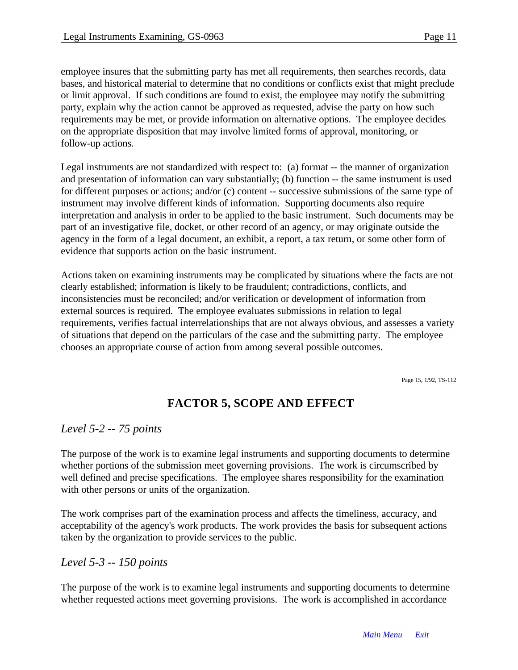employee insures that the submitting party has met all requirements, then searches records, data bases, and historical material to determine that no conditions or conflicts exist that might preclude or limit approval. If such conditions are found to exist, the employee may notify the submitting party, explain why the action cannot be approved as requested, advise the party on how such requirements may be met, or provide information on alternative options. The employee decides on the appropriate disposition that may involve limited forms of approval, monitoring, or follow-up actions.

Legal instruments are not standardized with respect to: (a) format -- the manner of organization and presentation of information can vary substantially; (b) function -- the same instrument is used for different purposes or actions; and/or (c) content -- successive submissions of the same type of instrument may involve different kinds of information. Supporting documents also require interpretation and analysis in order to be applied to the basic instrument. Such documents may be part of an investigative file, docket, or other record of an agency, or may originate outside the agency in the form of a legal document, an exhibit, a report, a tax return, or some other form of evidence that supports action on the basic instrument.

Actions taken on examining instruments may be complicated by situations where the facts are not clearly established; information is likely to be fraudulent; contradictions, conflicts, and inconsistencies must be reconciled; and/or verification or development of information from external sources is required. The employee evaluates submissions in relation to legal requirements, verifies factual interrelationships that are not always obvious, and assesses a variety of situations that depend on the particulars of the case and the submitting party. The employee chooses an appropriate course of action from among several possible outcomes.

Page 15, 1/92, TS-112

## **FACTOR 5, SCOPE AND EFFECT**

#### *Level 5-2 -- 75 points*

The purpose of the work is to examine legal instruments and supporting documents to determine whether portions of the submission meet governing provisions. The work is circumscribed by well defined and precise specifications. The employee shares responsibility for the examination with other persons or units of the organization.

The work comprises part of the examination process and affects the timeliness, accuracy, and acceptability of the agency's work products. The work provides the basis for subsequent actions taken by the organization to provide services to the public.

#### *Level 5-3 -- 150 points*

The purpose of the work is to examine legal instruments and supporting documents to determine whether requested actions meet governing provisions. The work is accomplished in accordance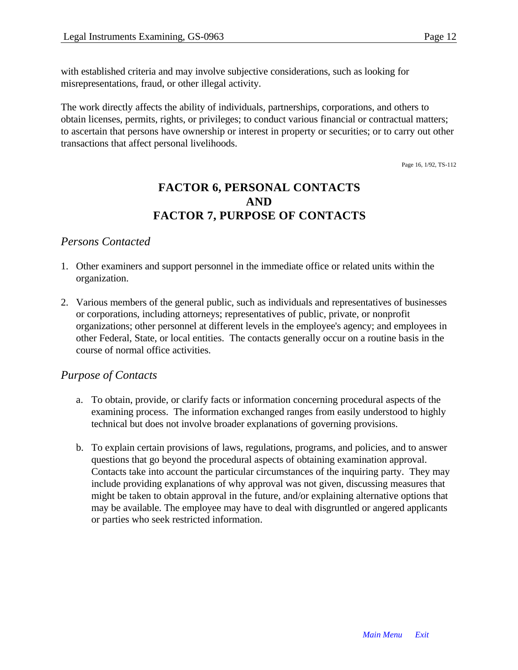with established criteria and may involve subjective considerations, such as looking for misrepresentations, fraud, or other illegal activity.

The work directly affects the ability of individuals, partnerships, corporations, and others to obtain licenses, permits, rights, or privileges; to conduct various financial or contractual matters; to ascertain that persons have ownership or interest in property or securities; or to carry out other transactions that affect personal livelihoods.

Page 16, 1/92, TS-112

## **FACTOR 6, PERSONAL CONTACTS AND FACTOR 7, PURPOSE OF CONTACTS**

#### *Persons Contacted*

- 1. Other examiners and support personnel in the immediate office or related units within the organization.
- 2. Various members of the general public, such as individuals and representatives of businesses or corporations, including attorneys; representatives of public, private, or nonprofit organizations; other personnel at different levels in the employee's agency; and employees in other Federal, State, or local entities. The contacts generally occur on a routine basis in the course of normal office activities.

#### *Purpose of Contacts*

- a. To obtain, provide, or clarify facts or information concerning procedural aspects of the examining process. The information exchanged ranges from easily understood to highly technical but does not involve broader explanations of governing provisions.
- b. To explain certain provisions of laws, regulations, programs, and policies, and to answer questions that go beyond the procedural aspects of obtaining examination approval. Contacts take into account the particular circumstances of the inquiring party. They may include providing explanations of why approval was not given, discussing measures that might be taken to obtain approval in the future, and/or explaining alternative options that may be available. The employee may have to deal with disgruntled or angered applicants or parties who seek restricted information.